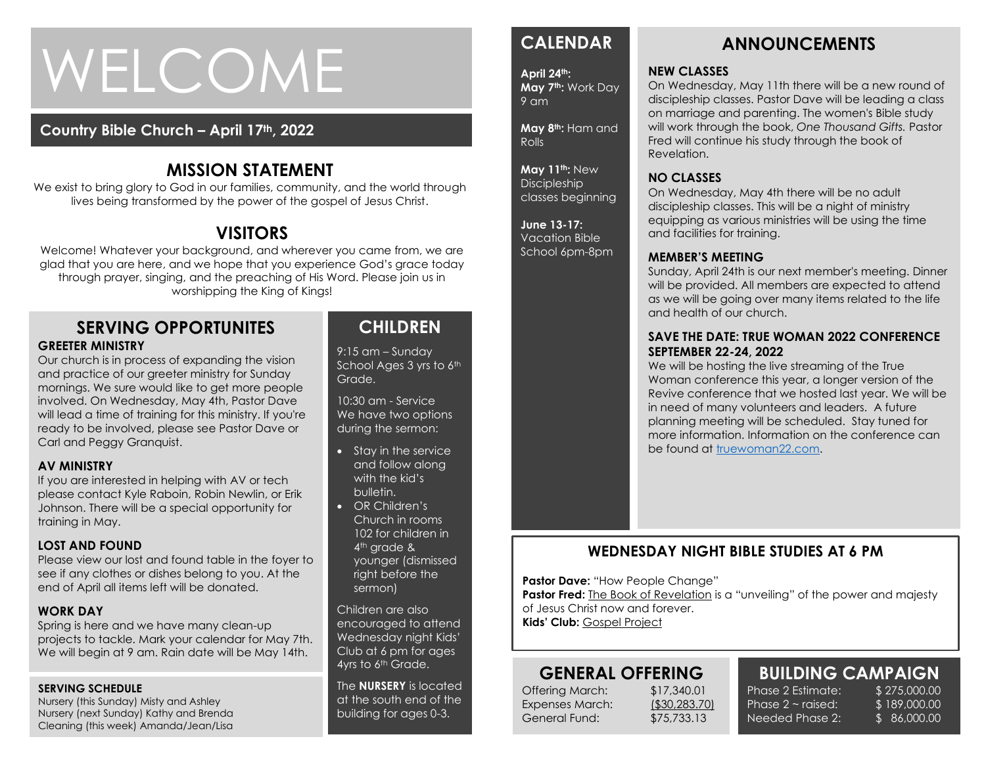# WELCOME

# **Country Bible Church – April 17th, 2022**

# **MISSION STATEMENT**

We exist to bring glory to God in our families, community, and the world through lives being transformed by the power of the gospel of Jesus Christ.

# **VISITORS**

Welcome! Whatever your background, and wherever you came from, we are glad that you are here, and we hope that you experience God's grace today through prayer, singing, and the preaching of His Word. Please join us in worshipping the King of Kings!

#### **SERVING OPPORTUNITES GREETER MINISTRY**

Our church is in process of expanding the vision and practice of our greeter ministry for Sunday mornings. We sure would like to get more people involved. On Wednesday, May 4th, Pastor Dave will lead a time of training for this ministry. If you're ready to be involved, please see Pastor Dave or Carl and Peggy Granquist.

#### **AV MINISTRY**

If you are interested in helping with AV or tech please contact Kyle Raboin, Robin Newlin, or Erik Johnson. There will be a special opportunity for training in May.

#### **LOST AND FOUND**

Please view our lost and found table in the foyer to see if any clothes or dishes belong to you. At the end of April all items left will be donated.

#### **WORK DAY**

Spring is here and we have many clean-up projects to tackle. Mark your calendar for May 7th. We will begin at 9 am. Rain date will be May 14th.

#### **SERVING SCHEDULE**

Nursery (this Sunday) Misty and Ashley Nursery (next Sunday) Kathy and Brenda Cleaning (this week) Amanda/Jean/Lisa

# **CHILDREN**

9:15 am – Sunday School Ages 3 yrs to 6th Grade.

10:30 am - Service We have two options during the sermon:

- Stay in the service and follow along with the kid's bulletin.
- OR Children's Church in rooms 102 for children in 4<sup>th</sup> grade & younger (dismissed right before the sermon)

Children are also encouraged to attend Wednesday night Kids' Club at 6 pm for ages 4yrs to 6<sup>th</sup> Grade.

The **NURSERY** is located at the south end of the building for ages 0-3.

# **CALENDAR**

**April 24th: May 7th:** Work Day 9 am

**May 8th:** Ham and Rolls

**May 11th:** New **Discipleship** classes beginning

#### **June 13-17:**  Vacation Bible

School 6pm-8pm

# **ANNOUNCEMENTS**

#### **NEW CLASSES**

On Wednesday, May 11th there will be a new round of discipleship classes. Pastor Dave will be leading a class on marriage and parenting. The women's Bible study will work through the book, *One Thousand Gifts.* Pastor Fred will continue his study through the book of Revelation.

#### **NO CLASSES**

On Wednesday, May 4th there will be no adult discipleship classes. This will be a night of ministry equipping as various ministries will be using the time and facilities for training.

#### **MEMBER'S MEETING**

Sunday, April 24th is our next member's meeting. Dinner will be provided. All members are expected to attend as we will be going over many items related to the life and health of our church.

#### **SAVE THE DATE: TRUE WOMAN 2022 CONFERENCE SEPTEMBER 22-24, 2022**

We will be hosting the live streaming of the True Woman conference this year, a longer version of the Revive conference that we hosted last year. We will be in need of many volunteers and leaders. A future planning meeting will be scheduled. Stay tuned for more information. Information on the conference can be found at [truewoman22.com.](http://truewoman22.com/)

# **WEDNESDAY NIGHT BIBLE STUDIES AT 6 PM**

**Pastor Dave: "How People Change"** 

**Pastor Fred:** The Book of Revelation is a "unveiling" of the power and majesty of Jesus Christ now and forever. **Kids' Club:** Gospel Project

# **GENERAL OFFERING**

Offering March: \$17,340.01 Expenses March: (\$30,283.70) General Fund: \$75,733.13

# **BUILDING CAMPAIGN**

Phase 2 Estimate: \$275,000.00 Phase  $2 \sim$  raised: Needed Phase 2:

\$ 189,000.00 \$ 86,000.00